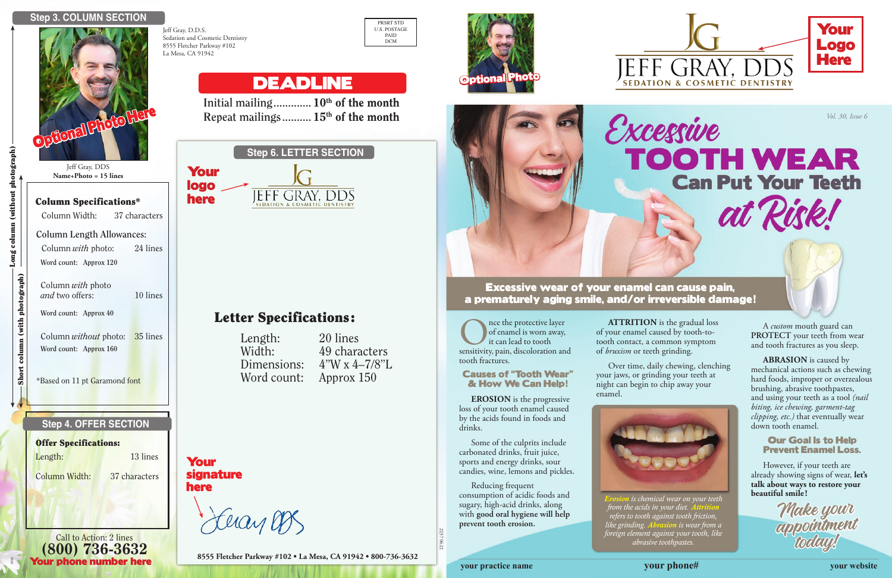Excessive wear of your enamel can cause pain, a prematurely aging smile, and/or irreversible damage!

Once the protective layer<br>
of enamel is worn away,<br>
it can lead to tooth<br>
sensitivity, pain, discoloration and of enamel is worn away, it can lead to tooth tooth fractures.

### Causes of "Tooth Wear" & How We Can Help!

**EROSION** is the progressive loss of your tooth enamel caused by the acids found in foods and drinks.

Some of the culprits include carbonated drinks, fruit juice, sports and energy drinks, sour candies, wine, lemons and pickles.

Reducing frequent consumption of acidic foods and sugary, high-acid drinks, along with **good oral hygiene will help prevent tooth erosion.** 

**ATTRITION** is the gradual loss of your enamel caused by tooth-totooth contact, a common symptom of *bruxism* or teeth grinding.

Excessive

**TOOTH WEAR** 

**Can Put Your Teeth** 

at Risk!

Over time, daily chewing, clenching your jaws, or grinding your teeth at night can begin to chip away your enamel.



**beautiful smile !** *Erosion is chemical wear on your teeth from the acids in your diet. Attrition refers to tooth against tooth friction, like grinding. Abrasion is wear from a foreign element against your tooth, like abrasive toothpastes.*

A *custom* mouth guard can **PROTECT** your teeth from wear and tooth fractures as you sleep.

**ABRASION** is caused by mechanical actions such as chewing hard foods, improper or overzealous brushing, abrasive toothpastes, and using your teeth as a tool *(nail biting, ice chewing, garment-tag clipping, etc.)* that eventually wear down tooth enamel.

### Our Goal Is to Help Prevent Enamel Loss.

However, if your teeth are already showing signs of wear, **let's talk about ways to restore your** 

> Make your appointment<br>today!